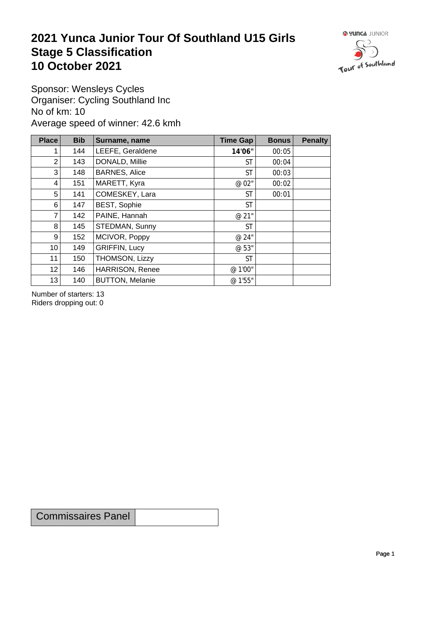## **2021 Yunca Junior Tour Of Southland U15 Girls** Stage 5 Classification<br>10 October 2021 **10 October 2021**



Sponsor: Wensleys Cycles Organiser: Cycling Southland Inc No of km: 10 Average speed of winner: 42.6 kmh

| <b>Place</b>    | <b>Bib</b> | Surname, name          | Time Gap  | <b>Bonus</b> | <b>Penalty</b> |
|-----------------|------------|------------------------|-----------|--------------|----------------|
| 1               | 144        | LEEFE, Geraldene       | 14'06"    | 00:05        |                |
| $\overline{2}$  | 143        | DONALD, Millie         | <b>ST</b> | 00:04        |                |
| 3               | 148        | <b>BARNES, Alice</b>   | <b>ST</b> | 00:03        |                |
| 4               | 151        | MARETT, Kyra           | @ 02"     | 00:02        |                |
| 5               | 141        | COMESKEY, Lara         | <b>ST</b> | 00:01        |                |
| 6               | 147        | <b>BEST, Sophie</b>    | <b>ST</b> |              |                |
| $\overline{7}$  | 142        | PAINE, Hannah          | @ 21"     |              |                |
| 8               | 145        | STEDMAN, Sunny         | <b>ST</b> |              |                |
| 9               | 152        | MCIVOR, Poppy          | @ 24"     |              |                |
| 10 <sup>1</sup> | 149        | <b>GRIFFIN, Lucy</b>   | @ 53"     |              |                |
| 11              | 150        | THOMSON, Lizzy         | <b>ST</b> |              |                |
| 12              | 146        | <b>HARRISON, Renee</b> | @ 1'00"   |              |                |
| 13              | 140        | <b>BUTTON, Melanie</b> | @ 1'55"   |              |                |

Number of starters: 13 Riders dropping out: 0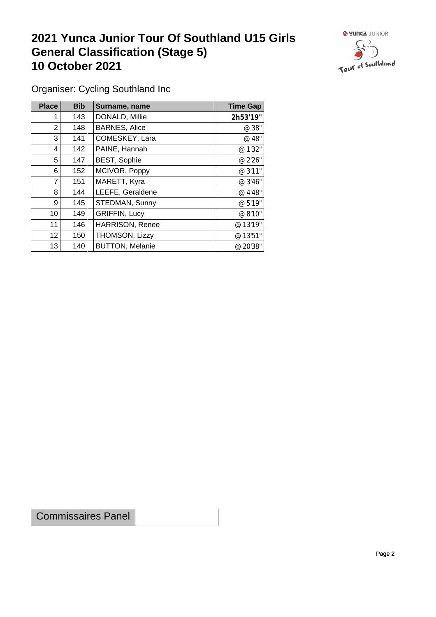## **2021 Yunca Junior Tour Of Southland U15 Girls General Classification (Stage 5)**<br>10 October 2021 **10 October 2021**



Organiser: Cycling Southland Inc

| Place           | <b>Bib</b> | Surname, name          | <b>Time Gap</b> |
|-----------------|------------|------------------------|-----------------|
|                 | 143        | DONALD, Millie         | 2h53'19"        |
| 2               | 148        | <b>BARNES, Alice</b>   | @ 38"           |
| 3               | 141        | COMESKEY, Lara         | @ 48"           |
| 4               | 142        | PAINE, Hannah          | @ 1'32"         |
| 5               | 147        | <b>BEST, Sophie</b>    | @ 2'26"         |
| 6               | 152        | MCIVOR, Poppy          | @ 3'11"         |
| 7               | 151        | MARETT, Kyra           | @ 3'46"         |
| 8               | 144        | LEEFE, Geraldene       | @ 4'48"         |
| 9               | 145        | STEDMAN, Sunny         | @ 5'19"         |
| 10              | 149        | <b>GRIFFIN, Lucy</b>   | @ 8'10"         |
| 11              | 146        | HARRISON, Renee        | @ 13'19"        |
| 12 <sup>2</sup> | 150        | THOMSON, Lizzy         | @ 13'51"        |
| 13              | 140        | <b>BUTTON, Melanie</b> | @ 20'38"        |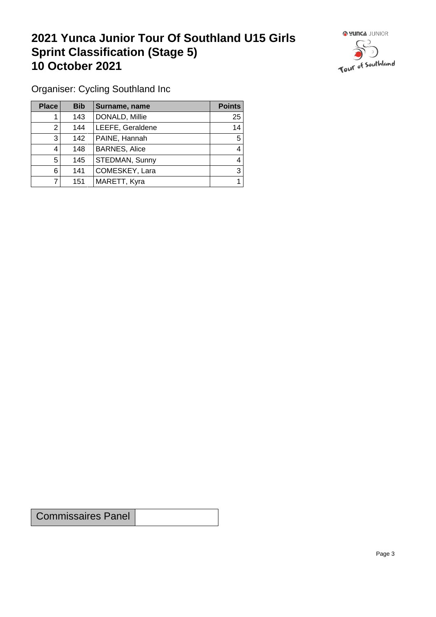## **2021 Yunca Junior Tour Of Southland U15 Girls Sprint Classification (Stage 5) 10 October 2021**



Organiser: Cycling Southland Inc

| Place | <b>Bib</b> | Surname, name        | <b>Points</b> |
|-------|------------|----------------------|---------------|
|       | 143        | DONALD, Millie       | 25            |
|       | 144        | LEEFE, Geraldene     | 14            |
| 3     | 142        | PAINE, Hannah        | 5             |
|       | 148        | <b>BARNES, Alice</b> | 4             |
| 5     | 145        | STEDMAN, Sunny       | 4             |
| 6     | 141        | COMESKEY, Lara       | 3             |
|       | 151        | MARETT, Kyra         |               |